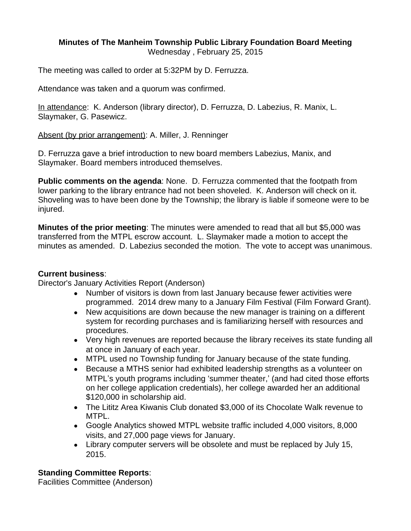#### **Minutes of The Manheim Township Public Library Foundation Board Meeting** Wednesday , February 25, 2015

The meeting was called to order at 5:32PM by D. Ferruzza.

Attendance was taken and a quorum was confirmed.

In attendance: K. Anderson (library director), D. Ferruzza, D. Labezius, R. Manix, L. Slaymaker, G. Pasewicz.

Absent (by prior arrangement): A. Miller, J. Renninger

D. Ferruzza gave a brief introduction to new board members Labezius, Manix, and Slaymaker. Board members introduced themselves.

**Public comments on the agenda**: None. D. Ferruzza commented that the footpath from lower parking to the library entrance had not been shoveled. K. Anderson will check on it. Shoveling was to have been done by the Township; the library is liable if someone were to be injured.

**Minutes of the prior meeting**: The minutes were amended to read that all but \$5,000 was transferred from the MTPL escrow account. L. Slaymaker made a motion to accept the minutes as amended. D. Labezius seconded the motion. The vote to accept was unanimous.

### **Current business**:

Director's January Activities Report (Anderson)

- Number of visitors is down from last January because fewer activities were programmed. 2014 drew many to a January Film Festival (Film Forward Grant).
- New acquisitions are down because the new manager is training on a different system for recording purchases and is familiarizing herself with resources and procedures.
- Very high revenues are reported because the library receives its state funding all at once in January of each year.
- MTPL used no Township funding for January because of the state funding.
- Because a MTHS senior had exhibited leadership strengths as a volunteer on MTPL's youth programs including 'summer theater,' (and had cited those efforts on her college application credentials), her college awarded her an additional \$120,000 in scholarship aid.
- The Lititz Area Kiwanis Club donated \$3,000 of its Chocolate Walk revenue to MTPL.
- Google Analytics showed MTPL website traffic included 4,000 visitors, 8,000 visits, and 27,000 page views for January.
- Library computer servers will be obsolete and must be replaced by July 15, 2015.

### **Standing Committee Reports**:

Facilities Committee (Anderson)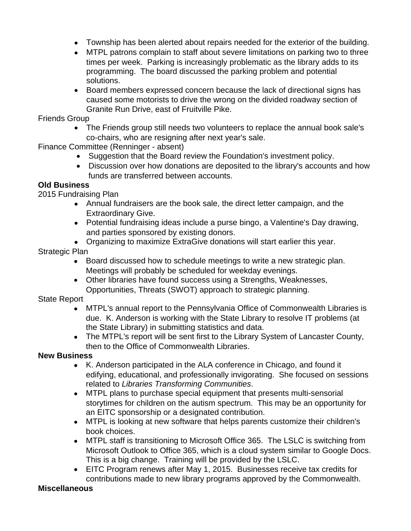- Township has been alerted about repairs needed for the exterior of the building.
- MTPL patrons complain to staff about severe limitations on parking two to three times per week. Parking is increasingly problematic as the library adds to its programming. The board discussed the parking problem and potential solutions.
- Board members expressed concern because the lack of directional signs has caused some motorists to drive the wrong on the divided roadway section of Granite Run Drive, east of Fruitville Pike.

Friends Group

• The Friends group still needs two volunteers to replace the annual book sale's co-chairs, who are resigning after next year's sale.

Finance Committee (Renninger - absent)

- Suggestion that the Board review the Foundation's investment policy.
- Discussion over how donations are deposited to the library's accounts and how funds are transferred between accounts.

### **Old Business**

2015 Fundraising Plan

- Annual fundraisers are the book sale, the direct letter campaign, and the Extraordinary Give.
- Potential fundraising ideas include a purse bingo, a Valentine's Day drawing, and parties sponsored by existing donors.
- Organizing to maximize ExtraGive donations will start earlier this year.

Strategic Plan

- Board discussed how to schedule meetings to write a new strategic plan. Meetings will probably be scheduled for weekday evenings.
- Other libraries have found success using a Strengths, Weaknesses, Opportunities, Threats (SWOT) approach to strategic planning.

State Report

- MTPL's annual report to the Pennsylvania Office of Commonwealth Libraries is due. K. Anderson is working with the State Library to resolve IT problems (at the State Library) in submitting statistics and data.
- The MTPL's report will be sent first to the Library System of Lancaster County, then to the Office of Commonwealth Libraries.

# **New Business**

- K. Anderson participated in the ALA conference in Chicago, and found it edifying, educational, and professionally invigorating. She focused on sessions related to *Libraries Transforming Communities*.
- MTPL plans to purchase special equipment that presents multi-sensorial storytimes for children on the autism spectrum. This may be an opportunity for an EITC sponsorship or a designated contribution.
- MTPL is looking at new software that helps parents customize their children's book choices.
- MTPL staff is transitioning to Microsoft Office 365. The LSLC is switching from Microsoft Outlook to Office 365, which is a cloud system similar to Google Docs. This is a big change. Training will be provided by the LSLC.
- EITC Program renews after May 1, 2015. Businesses receive tax credits for contributions made to new library programs approved by the Commonwealth.

### **Miscellaneous**